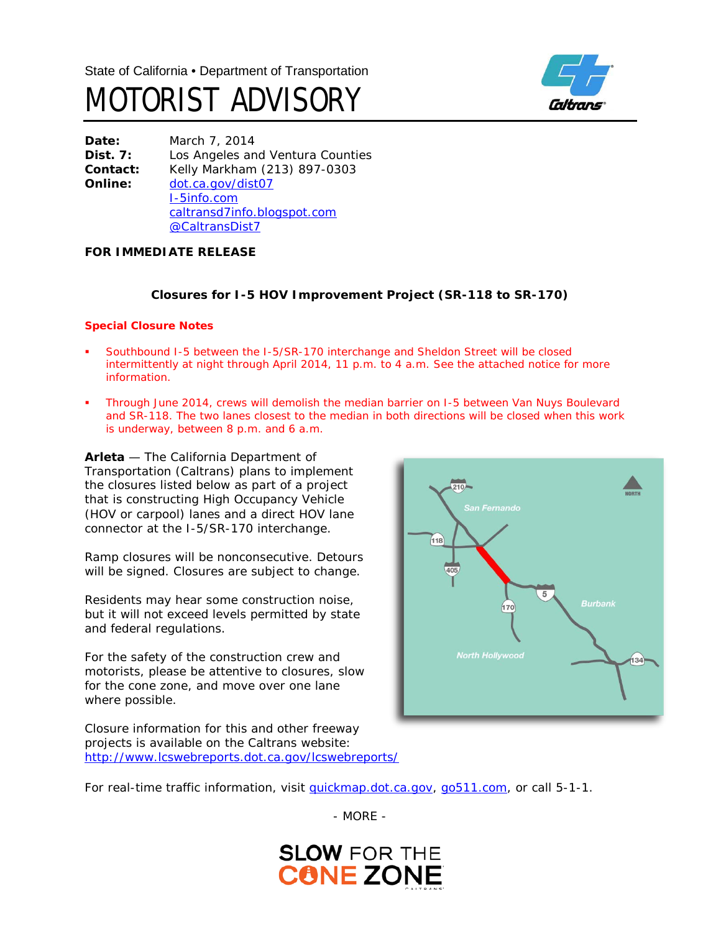



**Date:** March 7, 2014<br>**Dist. 7:** Los Angeles an Los Angeles and Ventura Counties **Contact:** Kelly Markham (213) 897-0303 **Online:** [dot.ca.gov/dist07](http://www.dot.ca.gov/dist07) [I-5info.com](http://www.i-5info.com/) caltransd7info.blogspot.com @CaltransDist7

### **FOR IMMEDIATE RELEASE**

# **Closures for I-5 HOV Improvement Project (SR-118 to SR-170)**

#### **Special Closure Notes**

- Southbound I-5 between the I-5/SR-170 interchange and Sheldon Street will be closed intermittently at night through April 2014, 11 p.m. to 4 a.m. See the attached notice for more information.
- Through June 2014, crews will demolish the median barrier on I-5 between Van Nuys Boulevard and SR-118. The two lanes closest to the median in both directions will be closed when this work is underway, between 8 p.m. and 6 a.m.

**Arleta** — The California Department of Transportation (Caltrans) plans to implement the closures listed below as part of a project that is constructing High Occupancy Vehicle (HOV or carpool) lanes and a direct HOV lane connector at the I-5/SR-170 interchange.

Ramp closures will be nonconsecutive. Detours will be signed. *Closures are subject to change.*

Residents may hear some construction noise, but it will not exceed levels permitted by state and federal regulations.

For the safety of the construction crew and motorists, please be attentive to closures, slow for the cone zone, and move over one lane where possible.

Closure information for this and other freeway projects is available on the Caltrans website: <http://www.lcswebreports.dot.ca.gov/lcswebreports/>



For real-time traffic information, visit quickmap.dot.ca.gov, go511.com, or call 5-1-1.

- MORE -